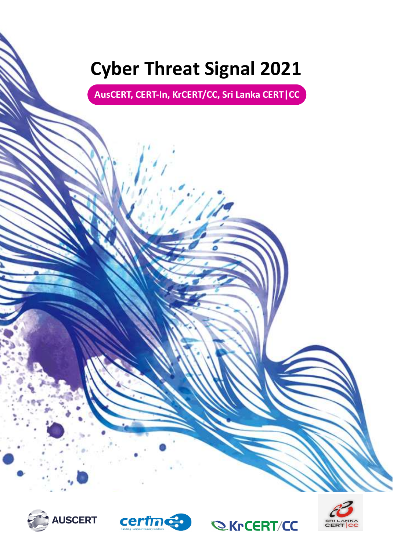# **Cyber Threat Signal 2021**

**AusCERT, CERT-In, KrCERT/CC, Sri Lanka CERT|CC**







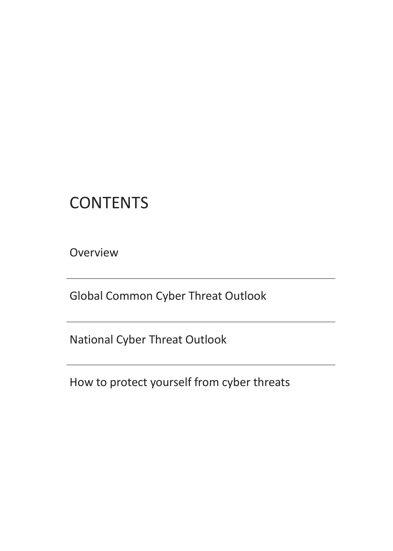# **CONTENTS**

**Overview** 

Global Common Cyber Threat Outlook

National Cyber Threat Outlook

How to protect yourself from cyber threats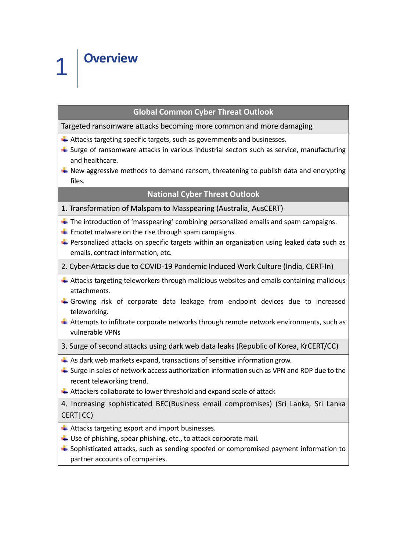#### **Global Common Cyber Threat Outlook**

Targeted ransomware attacks becoming more common and more damaging

- $\ddot$  Attacks targeting specific targets, such as governments and businesses.
- $\ddot{\phantom{1}}$  Surge of ransomware attacks in various industrial sectors such as service, manufacturing and healthcare.
- $\ddot{+}$  New aggressive methods to demand ransom, threatening to publish data and encrypting files.

#### **National Cyber Threat Outlook**

- 1. Transformation of Malspam to Masspearing (Australia, AusCERT)
- $\pm$  The introduction of 'masspearing' combining personalized emails and spam campaigns.
- $\ddot{+}$  Emotet malware on the rise through spam campaigns.
- $\ddot{\phantom{1}}$  Personalized attacks on specific targets within an organization using leaked data such as emails, contract information, etc.
- 2. Cyber-Attacks due to COVID-19 Pandemic Induced Work Culture (India, CERT-In)
- $\triangleq$  Attacks targeting teleworkers through malicious websites and emails containing malicious attachments.
- $\ddot$  Growing risk of corporate data leakage from endpoint devices due to increased teleworking.
- $\ddot{*}$  Attempts to infiltrate corporate networks through remote network environments, such as vulnerable VPNs
- 3. Surge of second attacks using dark web data leaks (Republic of Korea, KrCERT/CC)
- $\overline{\phantom{a}}$  As dark web markets expand, transactions of sensitive information grow.
- $\ddot{+}$  Surge in sales of network access authorization information such as VPN and RDP due to the recent teleworking trend.
- $\ddot{*}$  Attackers collaborate to lower threshold and expand scale of attack

4. Increasing sophisticated BEC(Business email compromises) (Sri Lanka, Sri Lanka CERT|CC)

- $\overline{\phantom{a}}$  Attacks targeting export and import businesses.
- $\downarrow$  Use of phishing, spear phishing, etc., to attack corporate mail.
- $\triangleq$  Sophisticated attacks, such as sending spoofed or compromised payment information to partner accounts of companies.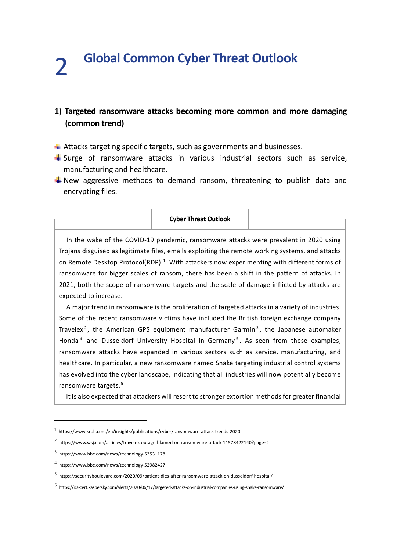# 2 **Global Common Cyber Threat Outlook**

### **1) Targeted ransomware attacks becoming more common and more damaging (common trend)**

- $\ddot$  Attacks targeting specific targets, such as governments and businesses.
- $\frac{1}{2}$  Surge of ransomware attacks in various industrial sectors such as service, manufacturing and healthcare.
- $\frac{1}{2}$  New aggressive methods to demand ransom, threatening to publish data and encrypting files.

#### **Cyber Threat Outlook**

 In the wake of the COVID-19 pandemic, ransomware attacks were prevalent in 2020 using Trojans disguised as legitimate files, emails exploiting the remote working systems, and attacks on Remote Desktop Protocol(RDP).<sup>[1](#page-3-0)</sup> With attackers now experimenting with different forms of ransomware for bigger scales of ransom, there has been a shift in the pattern of attacks. In 2021, both the scope of ransomware targets and the scale of damage inflicted by attacks are expected to increase.

 A major trend in ransomware is the proliferation of targeted attacks in a variety of industries. Some of the recent ransomware victims have included the British foreign exchange company Travelex<sup>[2](#page-3-1)</sup>, the American GPS equipment manufacturer Garmin<sup>[3](#page-3-2)</sup>, the Japanese automaker Honda<sup>[4](#page-3-3)</sup> and Dusseldorf University Hospital in Germany<sup>[5](#page-3-4)</sup>. As seen from these examples, ransomware attacks have expanded in various sectors such as service, manufacturing, and healthcare. In particular, a new ransomware named Snake targeting industrial control systems has evolved into the cyber landscape, indicating that all industries will now potentially become ransomware targets.[6](#page-3-5)

It is also expected that attackers will resort to stronger extortion methods for greater financial

<span id="page-3-0"></span> $1$  https://www.kroll.com/en/insights/publications/cyber/ransomware-attack-trends-2020

<span id="page-3-1"></span><sup>2</sup> https://www.wsj.com/articles/travelex-outage-blamed-on-ransomware-attack-11578422140?page=2

<span id="page-3-2"></span> $3$  https://www.bbc.com/news/technology-53531178

<span id="page-3-3"></span><sup>4</sup> https://www.bbc.com/news/technology-52982427

<span id="page-3-4"></span><sup>5</sup> https://securityboulevard.com/2020/09/patient-dies-after-ransomware-attack-on-dusseldorf-hospital/

<span id="page-3-5"></span> $^6$  https://ics-cert.kaspersky.com/alerts/2020/06/17/targeted-attacks-on-industrial-companies-using-snake-ransomware/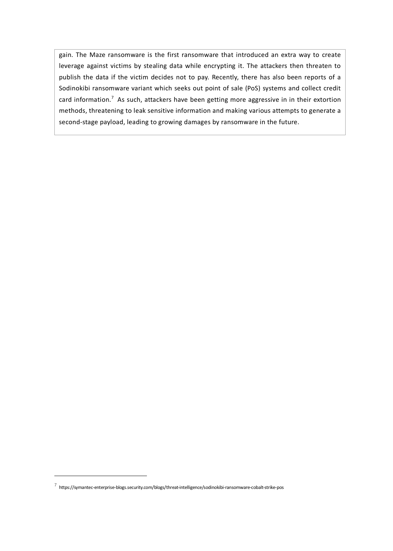gain. The Maze ransomware is the first ransomware that introduced an extra way to create leverage against victims by stealing data while encrypting it. The attackers then threaten to publish the data if the victim decides not to pay. Recently, there has also been reports of a Sodinokibi ransomware variant which seeks out point of sale (PoS) systems and collect credit card information.<sup>[7](#page-4-0)</sup> As such, attackers have been getting more aggressive in in their extortion methods, threatening to leak sensitive information and making various attempts to generate a second-stage payload, leading to growing damages by ransomware in the future.

<span id="page-4-0"></span> $7$  https://symantec-enterprise-blogs.security.com/blogs/threat-intelligence/sodinokibi-ransomware-cobalt-strike-pos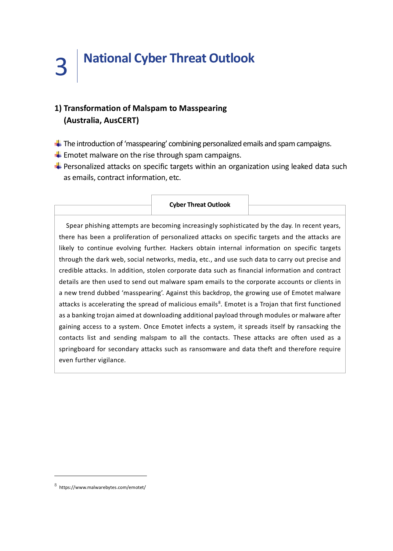# **1) Transformation of Malspam to Masspearing (Australia, AusCERT)**

- The introduction of 'masspearing' combining personalized emails and spam campaigns.
- $\triangleq$  Emotet malware on the rise through spam campaigns.

 $\overline{1}$ 

Personalized attacks on specific targets within an organization using leaked data such as emails, contract information, etc.

 $\overline{\phantom{a}}$ 

|                                                                                                                | <b>Cyber Threat Outlook</b> |  |
|----------------------------------------------------------------------------------------------------------------|-----------------------------|--|
|                                                                                                                |                             |  |
| Spear phishing attempts are becoming increasingly sophisticated by the day. In recent years,                   |                             |  |
| there has been a proliferation of personalized attacks on specific targets and the attacks are                 |                             |  |
| likely to continue evolving further. Hackers obtain internal information on specific targets                   |                             |  |
| through the dark web, social networks, media, etc., and use such data to carry out precise and                 |                             |  |
| credible attacks. In addition, stolen corporate data such as financial information and contract                |                             |  |
| details are then used to send out malware spam emails to the corporate accounts or clients in                  |                             |  |
| a new trend dubbed 'masspearing'. Against this backdrop, the growing use of Emotet malware                     |                             |  |
| attacks is accelerating the spread of malicious emails <sup>8</sup> . Emotet is a Trojan that first functioned |                             |  |
| as a banking trojan aimed at downloading additional payload through modules or malware after                   |                             |  |
| gaining access to a system. Once Emotet infects a system, it spreads itself by ransacking the                  |                             |  |
| contacts list and sending malspam to all the contacts. These attacks are often used as a                       |                             |  |
| springboard for secondary attacks such as ransomware and data theft and therefore require                      |                             |  |
| even further vigilance.                                                                                        |                             |  |

<span id="page-5-0"></span><sup>8</sup> https://www.malwarebytes.com/emotet/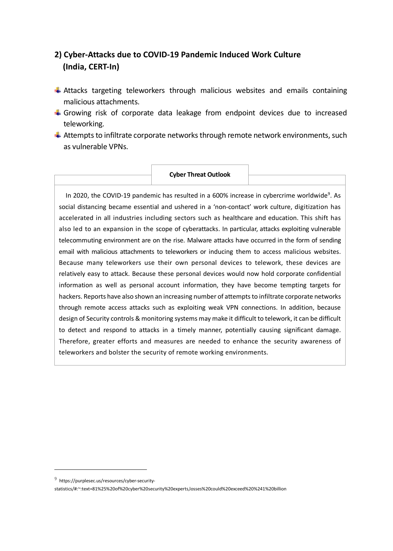# **2) Cyber-Attacks due to COVID-19 Pandemic Induced Work Culture (India, CERT-In)**

- $\ddot{+}$  Attacks targeting teleworkers through malicious websites and emails containing malicious attachments.
- $\ddot{+}$  Growing risk of corporate data leakage from endpoint devices due to increased teleworking.
- $\ddot{*}$  Attempts to infiltrate corporate networks through remote network environments, such as vulnerable VPNs.

#### **Cyber Threat Outlook**

In 2020, the COVID-1[9](#page-6-0) pandemic has resulted in a 600% increase in cybercrime worldwide<sup>9</sup>. As social distancing became essential and ushered in a 'non-contact' work culture, digitization has accelerated in all industries including sectors such as healthcare and education. This shift has also led to an expansion in the scope of cyberattacks. In particular, attacks exploiting vulnerable telecommuting environment are on the rise. Malware attacks have occurred in the form of sending email with malicious attachments to teleworkers or inducing them to access malicious websites. Because many teleworkers use their own personal devices to telework, these devices are relatively easy to attack. Because these personal devices would now hold corporate confidential information as well as personal account information, they have become tempting targets for hackers. Reports have also shown an increasing number of attempts to infiltrate corporate networks through remote access attacks such as exploiting weak VPN connections. In addition, because design of Security controls & monitoring systems may make it difficult to telework, it can be difficult to detect and respond to attacks in a timely manner, potentially causing significant damage. Therefore, greater efforts and measures are needed to enhance the security awareness of teleworkers and bolster the security of remote working environments.

<span id="page-6-0"></span> $9$  https://purplesec.us/resources/cyber-security-

statistics/#:~:text=81%25%20of%20cyber%20security%20experts,losses%20could%20exceed%20%241%20billion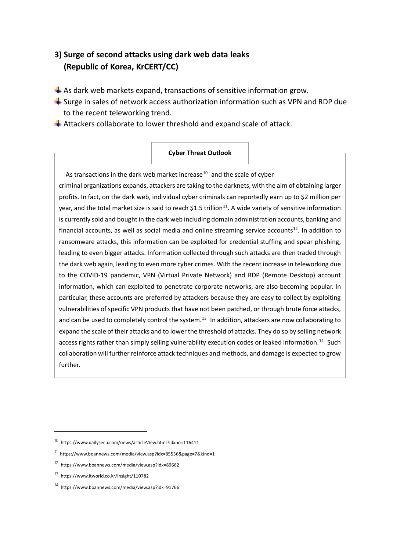## **3) Surge of second attacks using dark web data leaks (Republic of Korea, KrCERT/CC)**

- $\triangleq$  As dark web markets expand, transactions of sensitive information grow.
- $\triangleq$  Surge in sales of network access authorization information such as VPN and RDP due to the recent teleworking trend.
- $\triangleq$  Attackers collaborate to lower threshold and expand scale of attack.

#### **Cyber Threat Outlook**

As transactions in the dark web market increase $10$  and the scale of cyber criminal organizations expands, attackers are taking to the darknets, with the aim of obtaining larger profits. In fact, on the dark web, individual cyber criminals can reportedly earn up to \$2 million per year, and the total market size is said to reach \$1.5 trillion<sup>11</sup>. A wide variety of sensitive information is currently sold and bought in the dark web including domain administration accounts, banking and financial accounts, as well as social media and online streaming service accounts<sup>[12](#page-7-2)</sup>. In addition to ransomware attacks, this information can be exploited for credential stuffing and spear phishing, leading to even bigger attacks. Information collected through such attacks are then traded through the dark web again, leading to even more cyber crimes. With the recent increase in teleworking due to the COVID-19 pandemic, VPN (Virtual Private Network) and RDP (Remote Desktop) account information, which can exploited to penetrate corporate networks, are also becoming popular. In particular, these accounts are preferred by attackers because they are easy to collect by exploiting vulnerabilities of specific VPN products that have not been patched, or through brute force attacks, and can be used to completely control the system.<sup>[13](#page-7-3)</sup> In addition, attackers are now collaborating to expand the scale of their attacks and to lower the threshold of attacks. They do so by selling network access rights rather than simply selling vulnerability execution codes or leaked information.<sup>[14](#page-7-4)</sup> Such collaboration will further reinforce attack techniques and methods, and damage is expected to grow further.

<span id="page-7-0"></span> $10$  https://www.dailysecu.com/news/articleView.html?idxno=116411

<span id="page-7-2"></span><span id="page-7-1"></span><sup>11</sup> https://www.boannews.com/media/view.asp?idx=85536&page=7&kind=1

<sup>12</sup> https://www.boannews.com/media/view.asp?idx=89662

<span id="page-7-3"></span><sup>13</sup> https://www.itworld.co.kr/insight/110782

<span id="page-7-4"></span> $14$  https://www.boannews.com/media/view.asp?idx=91766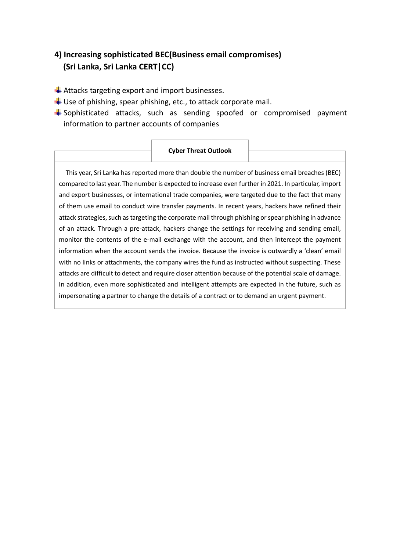# **4) Increasing sophisticated BEC(Business email compromises) (Sri Lanka, Sri Lanka CERT|CC)**

- $\overline{\phantom{a}}$  Attacks targeting export and import businesses.
- $\downarrow$  Use of phishing, spear phishing, etc., to attack corporate mail.
- $\triangleq$  Sophisticated attacks, such as sending spoofed or compromised payment information to partner accounts of companies

#### **Cyber Threat Outlook**

This year, Sri Lanka has reported more than double the number of business email breaches (BEC) compared to last year. The number is expected to increase even further in 2021. In particular, import and export businesses, or international trade companies, were targeted due to the fact that many of them use email to conduct wire transfer payments. In recent years, hackers have refined their attack strategies, such as targeting the corporate mail through phishing or spear phishing in advance of an attack. Through a pre-attack, hackers change the settings for receiving and sending email, monitor the contents of the e-mail exchange with the account, and then intercept the payment information when the account sends the invoice. Because the invoice is outwardly a 'clean' email with no links or attachments, the company wires the fund as instructed without suspecting. These attacks are difficult to detect and require closer attention because of the potential scale of damage. In addition, even more sophisticated and intelligent attempts are expected in the future, such as impersonating a partner to change the details of a contract or to demand an urgent payment.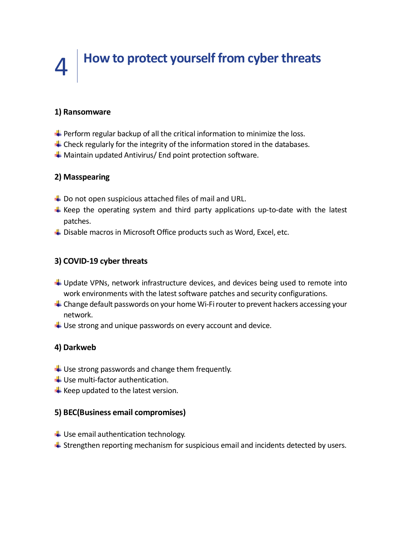# 4 **How to protect yourself from cyber threats**

#### **1) Ransomware**

- $\blacktriangleright$  Perform regular backup of all the critical information to minimize the loss.
- $\ddot{\phantom{1}}$  Check regularly for the integrity of the information stored in the databases.
- $\frac{1}{2}$  Maintain updated Antivirus/ End point protection software.

#### **2) Masspearing**

- $\downarrow$  Do not open suspicious attached files of mail and URL.
- $\ddot{*}$  Keep the operating system and third party applications up-to-date with the latest patches.
- $\ddot{+}$  Disable macros in Microsoft Office products such as Word, Excel, etc.

### **3) COVID-19 cyber threats**

- $\downarrow$  Update VPNs, network infrastructure devices, and devices being used to remote into work environments with the latest software patches and security configurations.
- $\ddot{+}$  Change default passwords on your home Wi-Fi router to prevent hackers accessing your network.
- $\downarrow$  Use strong and unique passwords on every account and device.

### **4) Darkweb**

- $\downarrow$  Use strong passwords and change them frequently.
- $\bigcup$  Use multi-factor authentication.
- $\bigstar$  Keep updated to the latest version.

#### **5) BEC(Business email compromises)**

- $\ddot{\phantom{1}}$  Use email authentication technology.
- $\ddot{+}$  Strengthen reporting mechanism for suspicious email and incidents detected by users.